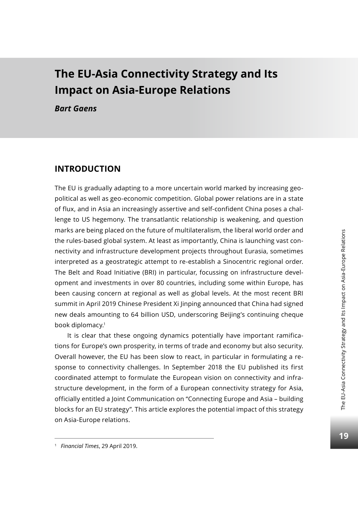# **The EU-Asia Connectivity Strategy and Its Impact on Asia-Europe Relations**

*Bart Gaens*

## **Introduction**

The EU is gradually adapting to a more uncertain world marked by increasing geopolitical as well as geo-economic competition. Global power relations are in a state of flux, and in Asia an increasingly assertive and self-confident China poses a challenge to US hegemony. The transatlantic relationship is weakening, and question marks are being placed on the future of multilateralism, the liberal world order and the rules-based global system. At least as importantly, China is launching vast connectivity and infrastructure development projects throughout Eurasia, sometimes interpreted as a geostrategic attempt to re-establish a Sinocentric regional order. The Belt and Road Initiative (BRI) in particular, focussing on infrastructure development and investments in over 80 countries, including some within Europe, has been causing concern at regional as well as global levels. At the most recent BRI summit in April 2019 Chinese President Xi Jinping announced that China had signed new deals amounting to 64 billion USD, underscoring Beijing's continuing cheque book diplomacy.1

It is clear that these ongoing dynamics potentially have important ramifications for Europe's own prosperity, in terms of trade and economy but also security. Overall however, the EU has been slow to react, in particular in formulating a response to connectivity challenges. In September 2018 the EU published its first coordinated attempt to formulate the European vision on connectivity and infrastructure development, in the form of a European connectivity strategy for Asia, officially entitled a Joint Communication on "Connecting Europe and Asia – building blocks for an EU strategy". This article explores the potential impact of this strategy on Asia-Europe relations.

<sup>1</sup> *Financial Times*, 29 April 2019.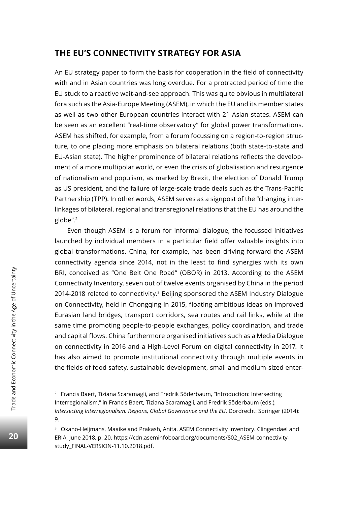## **The EU's Connectivity Strategy for Asia**

An EU strategy paper to form the basis for cooperation in the field of connectivity with and in Asian countries was long overdue. For a protracted period of time the EU stuck to a reactive wait-and-see approach. This was quite obvious in multilateral fora such as the Asia-Europe Meeting (ASEM), in which the EU and its member states as well as two other European countries interact with 21 Asian states. ASEM can be seen as an excellent "real-time observatory" for global power transformations. ASEM has shifted, for example, from a forum focussing on a region-to-region structure, to one placing more emphasis on bilateral relations (both state-to-state and EU-Asian state). The higher prominence of bilateral relations reflects the development of a more multipolar world, or even the crisis of globalisation and resurgence of nationalism and populism, as marked by Brexit, the election of Donald Trump as US president, and the failure of large-scale trade deals such as the Trans-Pacific Partnership (TPP). In other words, ASEM serves as a signpost of the "changing interlinkages of bilateral, regional and transregional relations that the EU has around the globe".2

Even though ASEM is a forum for informal dialogue, the focussed initiatives launched by individual members in a particular field offer valuable insights into global transformations. China, for example, has been driving forward the ASEM connectivity agenda since 2014, not in the least to find synergies with its own BRI, conceived as "One Belt One Road" (OBOR) in 2013. According to the ASEM Connectivity Inventory, seven out of twelve events organised by China in the period 2014-2018 related to connectivity.<sup>3</sup> Beijing sponsored the ASEM Industry Dialogue on Connectivity, held in Chongqing in 2015, floating ambitious ideas on improved Eurasian land bridges, transport corridors, sea routes and rail links, while at the same time promoting people-to-people exchanges, policy coordination, and trade and capital flows. China furthermore organised initiatives such as a Media Dialogue on connectivity in 2016 and a High-Level Forum on digital connectivity in 2017. It has also aimed to promote institutional connectivity through multiple events in the fields of food safety, sustainable development, small and medium-sized enter-

<sup>2</sup> Francis Baert, Tiziana Scaramagli, and Fredrik Söderbaum, "Introduction: Intersecting Interregionalism," in Francis Baert, Tiziana Scaramagli, and Fredrik Söderbaum (eds.), *Intersecting Interregionalism. Regions, Global Governance and the EU*. Dordrecht: Springer (2014): 9.

<sup>&</sup>lt;sup>3</sup> Okano-Heijmans, Maaike and Prakash, Anita. ASEM Connectivity Inventory. Clingendael and ERIA, June 2018, p. 20. https://cdn.aseminfoboard.org/documents/S02\_ASEM-connectivitystudy\_FINAL-VERSION-11.10.2018.pdf.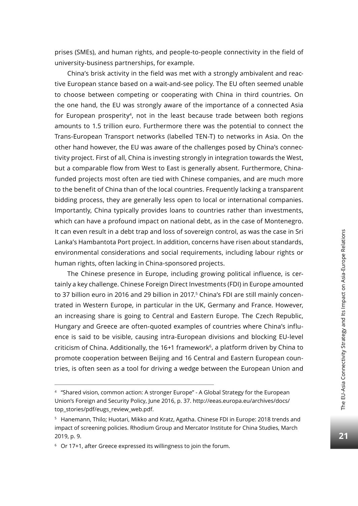prises (SMEs), and human rights, and people-to-people connectivity in the field of university-business partnerships, for example.

China's brisk activity in the field was met with a strongly ambivalent and reactive European stance based on a wait-and-see policy. The EU often seemed unable to choose between competing or cooperating with China in third countries. On the one hand, the EU was strongly aware of the importance of a connected Asia for European prosperity<sup>4</sup>, not in the least because trade between both regions amounts to 1.5 trillion euro. Furthermore there was the potential to connect the Trans-European Transport networks (labelled TEN-T) to networks in Asia. On the other hand however, the EU was aware of the challenges posed by China's connectivity project. First of all, China is investing strongly in integration towards the West, but a comparable flow from West to East is generally absent. Furthermore, Chinafunded projects most often are tied with Chinese companies, and are much more to the benefit of China than of the local countries. Frequently lacking a transparent bidding process, they are generally less open to local or international companies. Importantly, China typically provides loans to countries rather than investments, which can have a profound impact on national debt, as in the case of Montenegro. It can even result in a debt trap and loss of sovereign control, as was the case in Sri Lanka's Hambantota Port project. In addition, concerns have risen about standards, environmental considerations and social requirements, including labour rights or human rights, often lacking in China-sponsored projects.

The Chinese presence in Europe, including growing political influence, is certainly a key challenge. Chinese Foreign Direct Investments (FDI) in Europe amounted to 37 billion euro in 2016 and 29 billion in 2017.<sup>5</sup> China's FDI are still mainly concentrated in Western Europe, in particular in the UK, Germany and France. However, an increasing share is going to Central and Eastern Europe. The Czech Republic, Hungary and Greece are often-quoted examples of countries where China's influence is said to be visible, causing intra-European divisions and blocking EU-level criticism of China. Additionally, the  $16+1$  framework<sup>6</sup>, a platform driven by China to promote cooperation between Beijing and 16 Central and Eastern European countries, is often seen as a tool for driving a wedge between the European Union and

<sup>4</sup> "Shared vision, common action: A stronger Europe" - A Global Strategy for the European Union's Foreign and Security Policy, June 2016, p. 37. http://eeas.europa.eu/archives/docs/ top\_stories/pdf/eugs\_review\_web.pdf.

<sup>5</sup> Hanemann, Thilo; Huotari, Mikko and Kratz, Agatha. Chinese FDI in Europe: 2018 trends and impact of screening policies. Rhodium Group and Mercator Institute for China Studies, March 2019, p. 9.

<sup>6</sup> Or 17+1, after Greece expressed its willingness to join the forum.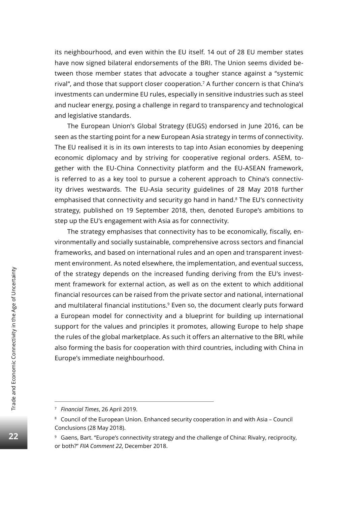its neighbourhood, and even within the EU itself. 14 out of 28 EU member states have now signed bilateral endorsements of the BRI. The Union seems divided between those member states that advocate a tougher stance against a "systemic rival", and those that support closer cooperation.7 A further concern is that China's investments can undermine EU rules, especially in sensitive industries such as steel and nuclear energy, posing a challenge in regard to transparency and technological and legislative standards.

The European Union's Global Strategy (EUGS) endorsed in June 2016, can be seen as the starting point for a new European Asia strategy in terms of connectivity. The EU realised it is in its own interests to tap into Asian economies by deepening economic diplomacy and by striving for cooperative regional orders. ASEM, together with the EU-China Connectivity platform and the EU-ASEAN framework, is referred to as a key tool to pursue a coherent approach to China's connectivity drives westwards. The EU-Asia security guidelines of 28 May 2018 further emphasised that connectivity and security go hand in hand.<sup>8</sup> The EU's connectivity strategy, published on 19 September 2018, then, denoted Europe's ambitions to step up the EU's engagement with Asia as for connectivity.

The strategy emphasises that connectivity has to be economically, fiscally, environmentally and socially sustainable, comprehensive across sectors and financial frameworks, and based on international rules and an open and transparent investment environment. As noted elsewhere, the implementation, and eventual success, of the strategy depends on the increased funding deriving from the EU's investment framework for external action, as well as on the extent to which additional financial resources can be raised from the private sector and national, international and multilateral financial institutions.<sup>9</sup> Even so, the document clearly puts forward a European model for connectivity and a blueprint for building up international support for the values and principles it promotes, allowing Europe to help shape the rules of the global marketplace. As such it offers an alternative to the BRI, while also forming the basis for cooperation with third countries, including with China in Europe's immediate neighbourhood.

<sup>7</sup> *Financial Times*, 26 April 2019.

<sup>8</sup> Council of the European Union. Enhanced security cooperation in and with Asia – Council Conclusions (28 May 2018).

<sup>&</sup>lt;sup>9</sup> Gaens, Bart. "Europe's connectivity strategy and the challenge of China: Rivalry, reciprocity, or both?" *FIIA Comment 22*, December 2018.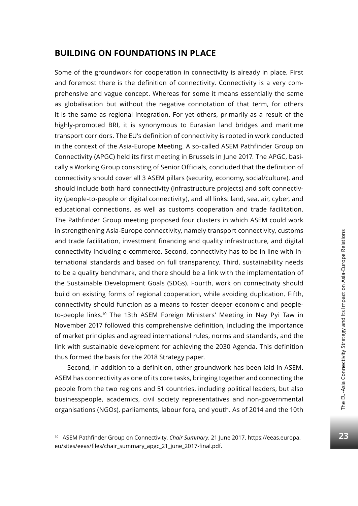### **Building on Foundations in Place**

Some of the groundwork for cooperation in connectivity is already in place. First and foremost there is the definition of connectivity. Connectivity is a very comprehensive and vague concept. Whereas for some it means essentially the same as globalisation but without the negative connotation of that term, for others it is the same as regional integration. For yet others, primarily as a result of the highly-promoted BRI, it is synonymous to Eurasian land bridges and maritime transport corridors. The EU's definition of connectivity is rooted in work conducted in the context of the Asia-Europe Meeting. A so-called ASEM Pathfinder Group on Connectivity (APGC) held its first meeting in Brussels in June 2017. The APGC, basically a Working Group consisting of Senior Officials, concluded that the definition of connectivity should cover all 3 ASEM pillars (security, economy, social/culture), and should include both hard connectivity (infrastructure projects) and soft connectivity (people-to-people or digital connectivity), and all links: land, sea, air, cyber, and educational connections, as well as customs cooperation and trade facilitation. The Pathfinder Group meeting proposed four clusters in which ASEM could work in strengthening Asia-Europe connectivity, namely transport connectivity, customs and trade facilitation, investment financing and quality infrastructure, and digital connectivity including e-commerce. Second, connectivity has to be in line with international standards and based on full transparency. Third, sustainability needs to be a quality benchmark, and there should be a link with the implementation of the Sustainable Development Goals (SDGs). Fourth, work on connectivity should build on existing forms of regional cooperation, while avoiding duplication. Fifth, connectivity should function as a means to foster deeper economic and peopleto-people links.10 The 13th ASEM Foreign Ministers' Meeting in Nay Pyi Taw in November 2017 followed this comprehensive definition, including the importance of market principles and agreed international rules, norms and standards, and the link with sustainable development for achieving the 2030 Agenda. This definition thus formed the basis for the 2018 Strategy paper.

Second, in addition to a definition, other groundwork has been laid in ASEM. ASEM has connectivity as one of its core tasks, bringing together and connecting the people from the two regions and 51 countries, including political leaders, but also businesspeople, academics, civil society representatives and non-governmental organisations (NGOs), parliaments, labour fora, and youth. As of 2014 and the 10th

<sup>10</sup> ASEM Pathfinder Group on Connectivity. *Chair Summary*. 21 June 2017. https://eeas.europa. eu/sites/eeas/files/chair\_summary\_apgc\_21\_june\_2017-final.pdf.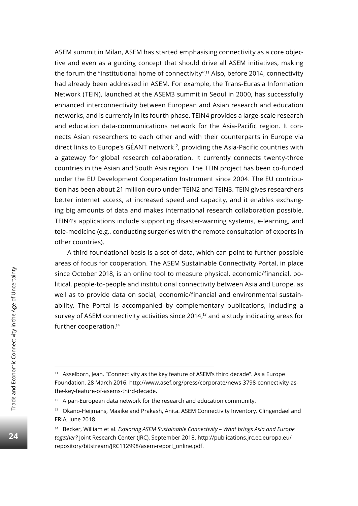ASEM summit in Milan, ASEM has started emphasising connectivity as a core objective and even as a guiding concept that should drive all ASEM initiatives, making the forum the "institutional home of connectivity".11 Also, before 2014, connectivity had already been addressed in ASEM. For example, the Trans-Eurasia Information Network (TEIN), launched at the ASEM3 summit in Seoul in 2000, has successfully enhanced interconnectivity between European and Asian research and education networks, and is currently in its fourth phase. TEIN4 provides a large-scale research and education data-communications network for the Asia-Pacific region. It connects Asian researchers to each other and with their counterparts in Europe via direct links to Europe's GÉANT network<sup>12</sup>, providing the Asia-Pacific countries with a gateway for global research collaboration. It currently connects twenty-three countries in the Asian and South Asia region. The TEIN project has been co-funded under the EU Development Cooperation Instrument since 2004. The EU contribution has been about 21 million euro under TEIN2 and TEIN3. TEIN gives researchers better internet access, at increased speed and capacity, and it enables exchanging big amounts of data and makes international research collaboration possible. TEIN4's applications include supporting disaster-warning systems, e-learning, and tele-medicine (e.g., conducting surgeries with the remote consultation of experts in other countries).

A third foundational basis is a set of data, which can point to further possible areas of focus for cooperation. The ASEM Sustainable Connectivity Portal, in place since October 2018, is an online tool to measure physical, economic/financial, political, people-to-people and institutional connectivity between Asia and Europe, as well as to provide data on social, economic/financial and environmental sustainability. The Portal is accompanied by complementary publications, including a survey of ASEM connectivity activities since 2014,<sup>13</sup> and a study indicating areas for further cooperation.14

<sup>&</sup>lt;sup>11</sup> Asselborn, Jean. "Connectivity as the key feature of ASEM's third decade". Asia Europe Foundation, 28 March 2016. http://www.asef.org/press/corporate/news-3798-connectivity-asthe-key-feature-of-asems-third-decade.

<sup>&</sup>lt;sup>12</sup> A pan-European data network for the research and education community.

<sup>&</sup>lt;sup>13</sup> Okano-Heijmans, Maaike and Prakash, Anita. ASEM Connectivity Inventory. Clingendael and ERIA, June 2018.

<sup>14</sup> Becker, William et al. *Exploring ASEM Sustainable Connectivity – What brings Asia and Europe together?* Joint Research Center (JRC), September 2018. http://publications.jrc.ec.europa.eu/ repository/bitstream/JRC112998/asem-report\_online.pdf.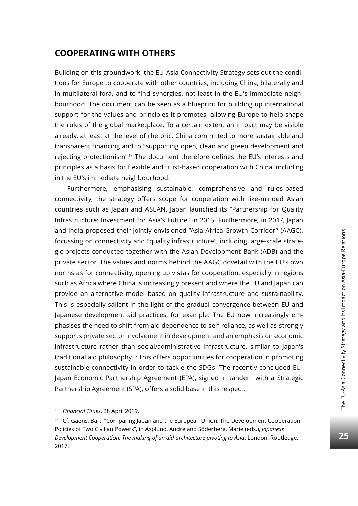Building on this groundwork, the EU-Asia Connectivity Strategy sets out the conditions for Europe to cooperate with other countries, including China, bilaterally and in multilateral fora, and to find synergies, not least in the EU's immediate neighbourhood. The document can be seen as a blueprint for building up international support for the values and principles it promotes, allowing Europe to help shape the rules of the global marketplace. To a certain extent an impact may be visible already, at least at the level of rhetoric. China committed to more sustainable and transparent financing and to "supporting open, clean and green development and rejecting protectionism".15 The document therefore defines the EU's interests and principles as a basis for flexible and trust-based cooperation with China, including in the EU's immediate neighbourhood.

Furthermore, emphasising sustainable, comprehensive and rules-based connectivity, the strategy offers scope for cooperation with like-minded Asian countries such as Japan and ASEAN. Japan launched its "Partnership for Quality Infrastructure: Investment for Asia's Future" in 2015. Furthermore, in 2017, Japan and India proposed their jointly envisioned "Asia-Africa Growth Corridor" (AAGC), focussing on connectivity and "quality infrastructure", including large-scale strategic projects conducted together with the Asian Development Bank (ADB) and the private sector. The values and norms behind the AAGC dovetail with the EU's own norms as for connectivity, opening up vistas for cooperation, especially in regions such as Africa where China is increasingly present and where the EU and Japan can provide an alternative model based on quality infrastructure and sustainability. This is especially salient in the light of the gradual convergence between EU and Japanese development aid practices, for example. The EU now increasingly emphasises the need to shift from aid dependence to self-reliance, as well as strongly supports private sector involvement in development and an emphasis on economic infrastructure rather than social/administrative infrastructure, similar to Japan's traditional aid philosophy.<sup>16</sup> This offers opportunities for cooperation in promoting sustainable connectivity in order to tackle the SDGs. The recently concluded EU-Japan Economic Partnership Agreement (EPA), signed in tandem with a Strategic Partnership Agreement (SPA), offers a solid base in this respect.

<sup>15</sup> *Financial Times*, 28 April 2019.

<sup>&</sup>lt;sup>16</sup> Cf. Gaens, Bart. "Comparing Japan and the European Union: The Development Cooperation Policies of Two Civilian Powers", in Asplund, Andre and Söderberg, Marie (eds.), *Japanese Development Cooperation. The making of an aid architecture pivoting to Asia*. London: Routledge, 2017.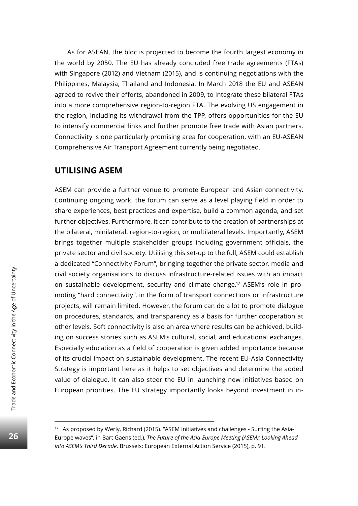As for ASEAN, the bloc is projected to become the fourth largest economy in the world by 2050. The EU has already concluded free trade agreements (FTAs) with Singapore (2012) and Vietnam (2015), and is continuing negotiations with the Philippines, Malaysia, Thailand and Indonesia. In March 2018 the EU and ASEAN agreed to revive their efforts, abandoned in 2009, to integrate these bilateral FTAs into a more comprehensive region-to-region FTA. The evolving US engagement in the region, including its withdrawal from the TPP, offers opportunities for the EU to intensify commercial links and further promote free trade with Asian partners. Connectivity is one particularly promising area for cooperation, with an EU-ASEAN Comprehensive Air Transport Agreement currently being negotiated.

### **Utilising ASEM**

ASEM can provide a further venue to promote European and Asian connectivity. Continuing ongoing work, the forum can serve as a level playing field in order to share experiences, best practices and expertise, build a common agenda, and set further objectives. Furthermore, it can contribute to the creation of partnerships at the bilateral, minilateral, region-to-region, or multilateral levels. Importantly, ASEM brings together multiple stakeholder groups including government officials, the private sector and civil society. Utilising this set-up to the full, ASEM could establish a dedicated "Connectivity Forum", bringing together the private sector, media and civil society organisations to discuss infrastructure-related issues with an impact on sustainable development, security and climate change.17 ASEM's role in promoting "hard connectivity", in the form of transport connections or infrastructure projects, will remain limited. However, the forum can do a lot to promote dialogue on procedures, standards, and transparency as a basis for further cooperation at other levels. Soft connectivity is also an area where results can be achieved, building on success stories such as ASEM's cultural, social, and educational exchanges. Especially education as a field of cooperation is given added importance because of its crucial impact on sustainable development. The recent EU-Asia Connectivity Strategy is important here as it helps to set objectives and determine the added value of dialogue. It can also steer the EU in launching new initiatives based on European priorities. The EU strategy importantly looks beyond investment in in-

<sup>&</sup>lt;sup>17</sup> As proposed by Werly, Richard (2015). "ASEM initiatives and challenges - Surfing the Asia-Europe waves", in Bart Gaens (ed.), *The Future of the Asia-Europe Meeting (ASEM): Looking Ahead into ASEM's Third Decade*. Brussels: European External Action Service (2015), p. 91.